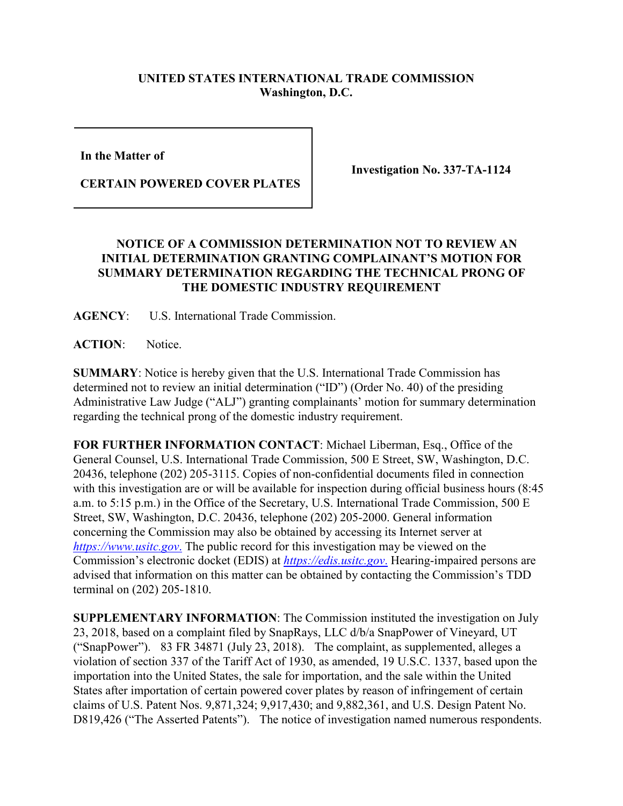## **UNITED STATES INTERNATIONAL TRADE COMMISSION Washington, D.C.**

**In the Matter of** 

**CERTAIN POWERED COVER PLATES**

**Investigation No. 337-TA-1124**

## **NOTICE OF A COMMISSION DETERMINATION NOT TO REVIEW AN INITIAL DETERMINATION GRANTING COMPLAINANT'S MOTION FOR SUMMARY DETERMINATION REGARDING THE TECHNICAL PRONG OF THE DOMESTIC INDUSTRY REQUIREMENT**

**AGENCY**: U.S. International Trade Commission.

**ACTION**: Notice.

**SUMMARY**: Notice is hereby given that the U.S. International Trade Commission has determined not to review an initial determination ("ID") (Order No. 40) of the presiding Administrative Law Judge ("ALJ") granting complainants' motion for summary determination regarding the technical prong of the domestic industry requirement.

**FOR FURTHER INFORMATION CONTACT**: Michael Liberman, Esq., Office of the General Counsel, U.S. International Trade Commission, 500 E Street, SW, Washington, D.C. 20436, telephone (202) 205-3115. Copies of non-confidential documents filed in connection with this investigation are or will be available for inspection during official business hours (8:45) a.m. to 5:15 p.m.) in the Office of the Secretary, U.S. International Trade Commission, 500 E Street, SW, Washington, D.C. 20436, telephone (202) 205-2000. General information concerning the Commission may also be obtained by accessing its Internet server at *[https://www.usitc.gov](https://www.usitc.gov./)*. The public record for this investigation may be viewed on the Commission's electronic docket (EDIS) at *[https://edis.usitc.gov](https://edis.usitc.gov./)*. Hearing-impaired persons are advised that information on this matter can be obtained by contacting the Commission's TDD terminal on (202) 205-1810.

**SUPPLEMENTARY INFORMATION**: The Commission instituted the investigation on July 23, 2018, based on a complaint filed by SnapRays, LLC d/b/a SnapPower of Vineyard, UT ("SnapPower"). 83 FR 34871 (July 23, 2018). The complaint, as supplemented, alleges a violation of section 337 of the Tariff Act of 1930, as amended, 19 U.S.C. 1337, based upon the importation into the United States, the sale for importation, and the sale within the United States after importation of certain powered cover plates by reason of infringement of certain claims of U.S. Patent Nos. 9,871,324; 9,917,430; and 9,882,361, and U.S. Design Patent No. D819,426 ("The Asserted Patents"). The notice of investigation named numerous respondents.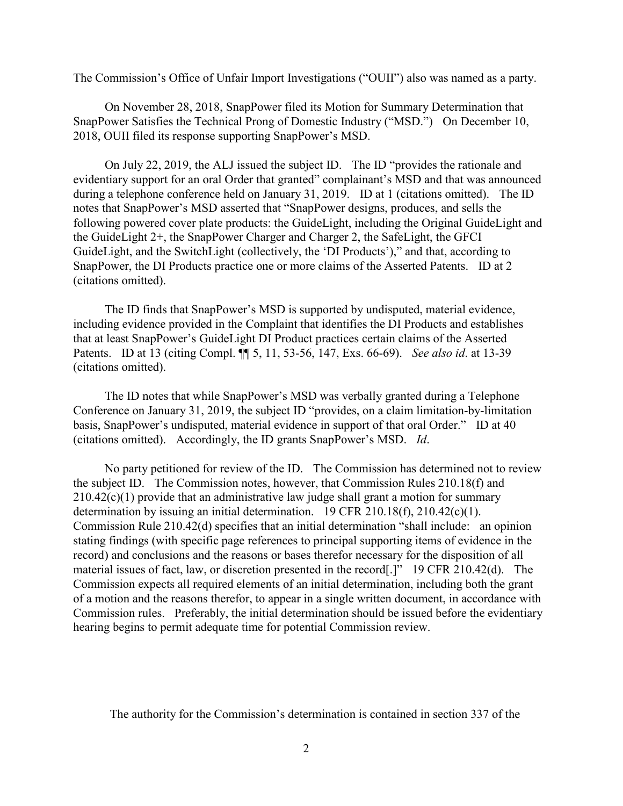The Commission's Office of Unfair Import Investigations ("OUII") also was named as a party.

On November 28, 2018, SnapPower filed its Motion for Summary Determination that SnapPower Satisfies the Technical Prong of Domestic Industry ("MSD.") On December 10, 2018, OUII filed its response supporting SnapPower's MSD.

On July 22, 2019, the ALJ issued the subject ID. The ID "provides the rationale and evidentiary support for an oral Order that granted" complainant's MSD and that was announced during a telephone conference held on January 31, 2019. ID at 1 (citations omitted). The ID notes that SnapPower's MSD asserted that "SnapPower designs, produces, and sells the following powered cover plate products: the GuideLight, including the Original GuideLight and the GuideLight 2+, the SnapPower Charger and Charger 2, the SafeLight, the GFCI GuideLight, and the SwitchLight (collectively, the 'DI Products')," and that, according to SnapPower, the DI Products practice one or more claims of the Asserted Patents. ID at 2 (citations omitted).

The ID finds that SnapPower's MSD is supported by undisputed, material evidence, including evidence provided in the Complaint that identifies the DI Products and establishes that at least SnapPower's GuideLight DI Product practices certain claims of the Asserted Patents. ID at 13 (citing Compl. ¶¶ 5, 11, 53-56, 147, Exs. 66-69). *See also id*. at 13-39 (citations omitted).

The ID notes that while SnapPower's MSD was verbally granted during a Telephone Conference on January 31, 2019, the subject ID "provides, on a claim limitation-by-limitation basis, SnapPower's undisputed, material evidence in support of that oral Order." ID at 40 (citations omitted). Accordingly, the ID grants SnapPower's MSD. *Id*.

No party petitioned for review of the ID. The Commission has determined not to review the subject ID. The Commission notes, however, that Commission Rules 210.18(f) and  $210.42(c)(1)$  provide that an administrative law judge shall grant a motion for summary determination by issuing an initial determination. 19 CFR 210.18(f), 210.42(c)(1). Commission Rule 210.42(d) specifies that an initial determination "shall include: an opinion stating findings (with specific page references to principal supporting items of evidence in the record) and conclusions and the reasons or bases therefor necessary for the disposition of all material issues of fact, law, or discretion presented in the record[.]" 19 CFR 210.42(d). The Commission expects all required elements of an initial determination, including both the grant of a motion and the reasons therefor, to appear in a single written document, in accordance with Commission rules. Preferably, the initial determination should be issued before the evidentiary hearing begins to permit adequate time for potential Commission review.

The authority for the Commission's determination is contained in section 337 of the